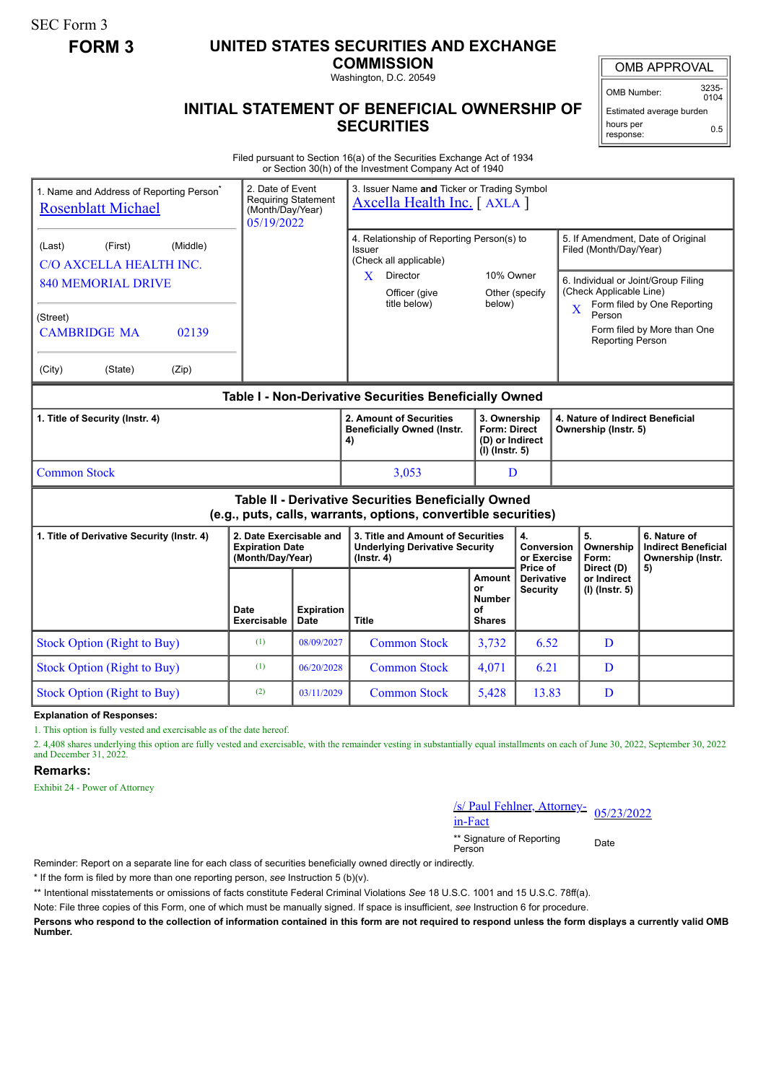SEC Form 3

# **FORM 3 UNITED STATES SECURITIES AND EXCHANGE**

**COMMISSION** Washington, D.C. 20549

OMB Number: 3235-  $0104$ 

Estimated average burden hours per response: 0.5

## **INITIAL STATEMENT OF BENEFICIAL OWNERSHIP OF SECURITIES**

Filed pursuant to Section 16(a) of the Securities Exchange Act of 1934 or Section 30(h) of the Investment Company Act of 1940

| 1. Name and Address of Reporting Person <sup>7</sup><br><b>Rosenblatt Michael</b>                                                                               | 2. Date of Event<br><b>Requiring Statement</b><br>(Month/Day/Year)<br>05/19/2022 |                                  | 3. Issuer Name and Ticker or Trading Symbol<br>Axcella Health Inc. [ AXLA ]                                                                |                                                                   |                                                  |                                                                                                                                                                         |                                                                 |
|-----------------------------------------------------------------------------------------------------------------------------------------------------------------|----------------------------------------------------------------------------------|----------------------------------|--------------------------------------------------------------------------------------------------------------------------------------------|-------------------------------------------------------------------|--------------------------------------------------|-------------------------------------------------------------------------------------------------------------------------------------------------------------------------|-----------------------------------------------------------------|
| (Middle)<br>(First)<br>(Last)<br>C/O AXCELLA HEALTH INC.<br><b>840 MEMORIAL DRIVE</b><br>(Street)<br><b>CAMBRIDGE MA</b><br>02139<br>(City)<br>(Zip)<br>(State) |                                                                                  |                                  | 4. Relationship of Reporting Person(s) to<br>Issuer<br>(Check all applicable)<br>Director<br>$\mathbf{X}$<br>Officer (give<br>title below) | 10% Owner<br>below)                                               | Other (specify                                   | 5. If Amendment, Date of Original<br>Filed (Month/Day/Year)<br>6. Individual or Joint/Group Filing<br>(Check Applicable Line)<br>X<br>Person<br><b>Reporting Person</b> | Form filed by One Reporting<br>Form filed by More than One      |
| Table I - Non-Derivative Securities Beneficially Owned                                                                                                          |                                                                                  |                                  |                                                                                                                                            |                                                                   |                                                  |                                                                                                                                                                         |                                                                 |
| 1. Title of Security (Instr. 4)                                                                                                                                 |                                                                                  |                                  | 2. Amount of Securities<br><b>Beneficially Owned (Instr.</b><br>4)                                                                         | 3. Ownership<br>Form: Direct<br>(D) or Indirect<br>(I) (Instr. 5) |                                                  | 4. Nature of Indirect Beneficial<br>Ownership (Instr. 5)                                                                                                                |                                                                 |
| <b>Common Stock</b>                                                                                                                                             |                                                                                  |                                  | 3,053                                                                                                                                      | D                                                                 |                                                  |                                                                                                                                                                         |                                                                 |
| Table II - Derivative Securities Beneficially Owned<br>(e.g., puts, calls, warrants, options, convertible securities)                                           |                                                                                  |                                  |                                                                                                                                            |                                                                   |                                                  |                                                                                                                                                                         |                                                                 |
| 1. Title of Derivative Security (Instr. 4)                                                                                                                      | 2. Date Exercisable and<br><b>Expiration Date</b><br>(Month/Day/Year)            |                                  | 3. Title and Amount of Securities<br><b>Underlying Derivative Security</b><br>(Instr. 4)                                                   |                                                                   | 4.<br>Conversion<br>or Exercise                  | 5.<br>Ownership<br>Form:                                                                                                                                                | 6. Nature of<br><b>Indirect Beneficial</b><br>Ownership (Instr. |
|                                                                                                                                                                 | Date<br><b>Exercisable</b>                                                       | <b>Expiration</b><br><b>Date</b> | <b>Title</b>                                                                                                                               | Amount<br>or<br><b>Number</b><br>οf<br><b>Shares</b>              | Price of<br><b>Derivative</b><br><b>Security</b> | Direct (D)<br>or Indirect<br>(I) (Instr. 5)                                                                                                                             | 5)                                                              |
| <b>Stock Option (Right to Buy)</b>                                                                                                                              | (1)                                                                              | 08/09/2027                       | <b>Common Stock</b>                                                                                                                        | 3,732                                                             | 6.52                                             | D                                                                                                                                                                       |                                                                 |
| <b>Stock Option (Right to Buy)</b>                                                                                                                              | (1)                                                                              | 06/20/2028                       | <b>Common Stock</b>                                                                                                                        | 4,071                                                             | 6.21                                             | D                                                                                                                                                                       |                                                                 |
| <b>Stock Option (Right to Buy)</b>                                                                                                                              | (2)                                                                              | 03/11/2029                       | <b>Common Stock</b>                                                                                                                        | 5,428                                                             | 13.83                                            | D                                                                                                                                                                       |                                                                 |
| <b>Explanation of Responses:</b>                                                                                                                                |                                                                                  |                                  |                                                                                                                                            |                                                                   |                                                  |                                                                                                                                                                         |                                                                 |

1. This option is fully vested and exercisable as of the date hereof.

2. 4,408 shares underlying this option are fully vested and exercisable, with the remainder vesting in substantially equal installments on each of June 30, 2022, September 30, 2022 and December 31, 2022.

#### **Remarks:**

Exhibit 24 - Power of Attorney

/s/ Paul Fehlner, Attorney-<br>in-Fact

\*\* Signature of Reporting <sub>Date</sub><br>Person

Reminder: Report on a separate line for each class of securities beneficially owned directly or indirectly.

\* If the form is filed by more than one reporting person, *see* Instruction 5 (b)(v).

\*\* Intentional misstatements or omissions of facts constitute Federal Criminal Violations *See* 18 U.S.C. 1001 and 15 U.S.C. 78ff(a).

Note: File three copies of this Form, one of which must be manually signed. If space is insufficient, *see* Instruction 6 for procedure.

**Persons who respond to the collection of information contained in this form are not required to respond unless the form displays a currently valid OMB Number.**

#### OMB APPROVAL